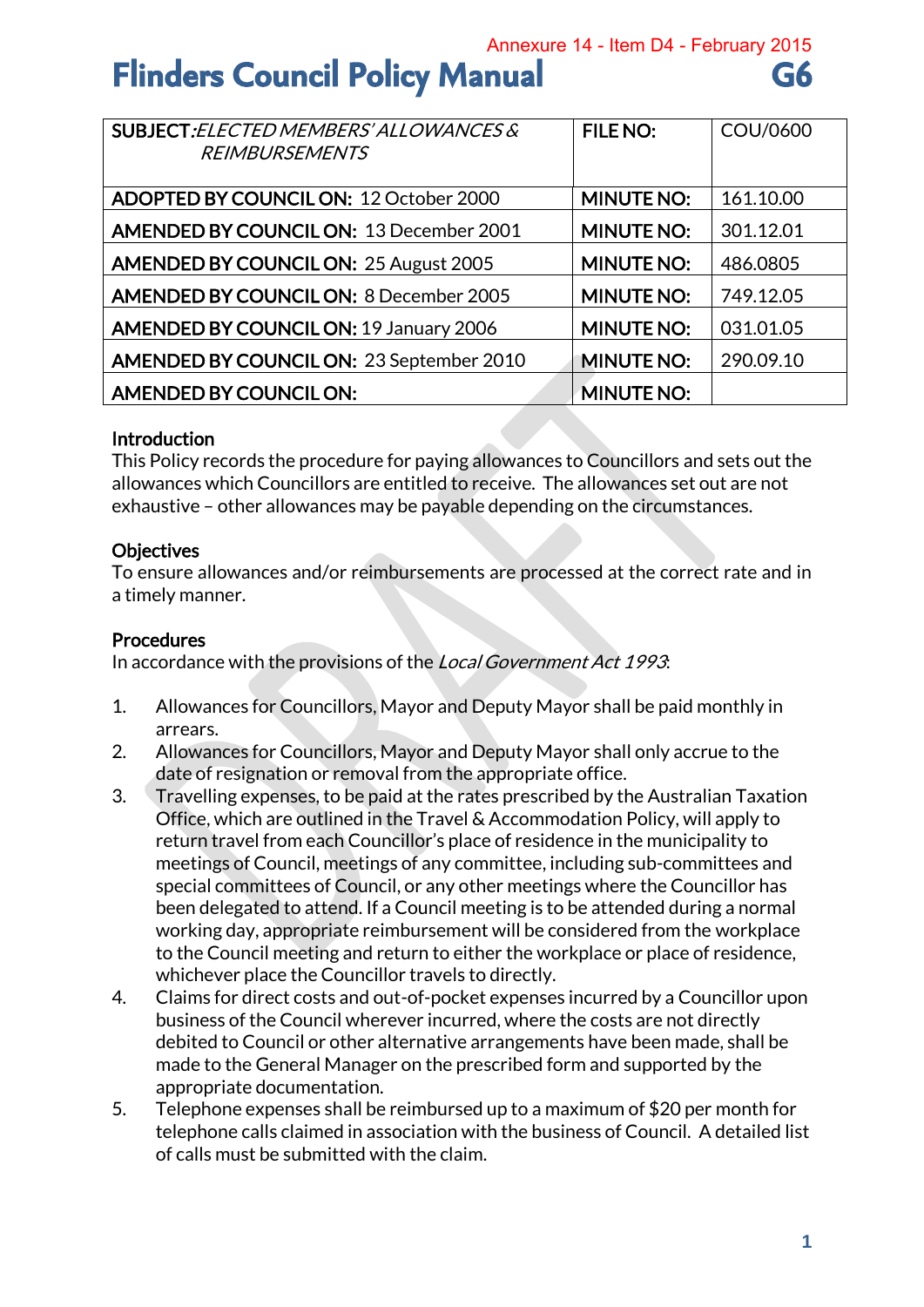Annexure 14 - Item D4 - February 2015

# **Flinders Council Policy Manual G6**

| SUBJECT: ELECTED MEMBERS' ALLOWANCES &<br><b>REIMBURSEMENTS</b> | <b>FILE NO:</b>   | COU/0600  |
|-----------------------------------------------------------------|-------------------|-----------|
|                                                                 |                   |           |
| ADOPTED BY COUNCIL ON: 12 October 2000                          | <b>MINUTE NO:</b> | 161.10.00 |
| <b>AMENDED BY COUNCIL ON: 13 December 2001</b>                  | <b>MINUTE NO:</b> | 301.12.01 |
| <b>AMENDED BY COUNCIL ON: 25 August 2005</b>                    | <b>MINUTE NO:</b> | 486.0805  |
| <b>AMENDED BY COUNCIL ON: 8 December 2005</b>                   | <b>MINUTE NO:</b> | 749.12.05 |
| <b>AMENDED BY COUNCIL ON: 19 January 2006</b>                   | <b>MINUTE NO:</b> | 031.01.05 |
| <b>AMENDED BY COUNCIL ON: 23 September 2010</b>                 | <b>MINUTE NO:</b> | 290.09.10 |
| AMENDED BY COUNCIL ON:                                          | <b>MINUTE NO:</b> |           |

#### Introduction

This Policy records the procedure for paying allowances to Councillors and sets out the allowances which Councillors are entitled to receive. The allowances set out are not exhaustive – other allowances may be payable depending on the circumstances.

### **Objectives**

To ensure allowances and/or reimbursements are processed at the correct rate and in a timely manner.

#### Procedures

In accordance with the provisions of the Local Government Act 1993.

- 1. Allowances for Councillors, Mayor and Deputy Mayor shall be paid monthly in arrears.
- 2. Allowances for Councillors, Mayor and Deputy Mayor shall only accrue to the date of resignation or removal from the appropriate office.
- 3. Travelling expenses, to be paid at the rates prescribed by the Australian Taxation Office, which are outlined in the Travel & Accommodation Policy, will apply to return travel from each Councillor's place of residence in the municipality to meetings of Council, meetings of any committee, including sub-committees and special committees of Council, or any other meetings where the Councillor has been delegated to attend. If a Council meeting is to be attended during a normal working day, appropriate reimbursement will be considered from the workplace to the Council meeting and return to either the workplace or place of residence, whichever place the Councillor travels to directly.
- 4. Claims for direct costs and out-of-pocket expenses incurred by a Councillor upon business of the Council wherever incurred, where the costs are not directly debited to Council or other alternative arrangements have been made, shall be made to the General Manager on the prescribed form and supported by the appropriate documentation.
- 5. Telephone expenses shall be reimbursed up to a maximum of \$20 per month for telephone calls claimed in association with the business of Council. A detailed list of calls must be submitted with the claim.